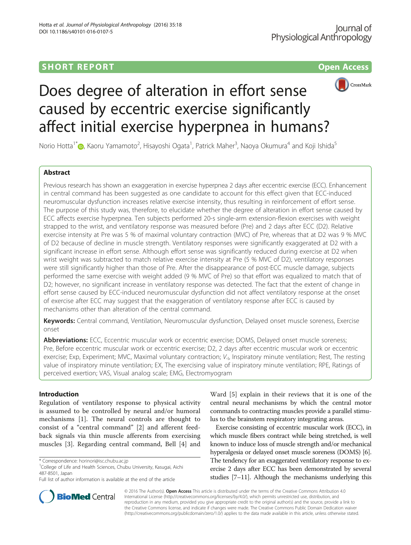## SHORT REPORT **The Contract of the Contract of Contract Contract Open Access**



# Does degree of alteration in effort sense caused by eccentric exercise significantly affect initial exercise hyperpnea in humans?

Norio Hotta<sup>1\*</sup>@, Kaoru Yamamoto<sup>2</sup>, Hisayoshi Ogata<sup>1</sup>, Patrick Maher<sup>3</sup>, Naoya Okumura<sup>4</sup> and Koji Ishida<sup>5</sup>

## Abstract

Previous research has shown an exaggeration in exercise hyperpnea 2 days after eccentric exercise (ECC). Enhancement in central command has been suggested as one candidate to account for this effect given that ECC-induced neuromuscular dysfunction increases relative exercise intensity, thus resulting in reinforcement of effort sense. The purpose of this study was, therefore, to elucidate whether the degree of alteration in effort sense caused by ECC affects exercise hyperpnea. Ten subjects performed 20-s single-arm extension-flexion exercises with weight strapped to the wrist, and ventilatory response was measured before (Pre) and 2 days after ECC (D2). Relative exercise intensity at Pre was 5 % of maximal voluntary contraction (MVC) of Pre, whereas that at D2 was 9 % MVC of D2 because of decline in muscle strength. Ventilatory responses were significantly exaggerated at D2 with a significant increase in effort sense. Although effort sense was significantly reduced during exercise at D2 when wrist weight was subtracted to match relative exercise intensity at Pre (5 % MVC of D2), ventilatory responses were still significantly higher than those of Pre. After the disappearance of post-ECC muscle damage, subjects performed the same exercise with weight added (9 % MVC of Pre) so that effort was equalized to match that of D2; however, no significant increase in ventilatory response was detected. The fact that the extent of change in effort sense caused by ECC-induced neuromuscular dysfunction did not affect ventilatory response at the onset of exercise after ECC may suggest that the exaggeration of ventilatory response after ECC is caused by mechanisms other than alteration of the central command.

Keywords: Central command, Ventilation, Neuromuscular dysfunction, Delayed onset muscle soreness, Exercise onset

Abbreviations: ECC, Eccentric muscular work or eccentric exercise; DOMS, Delayed onset muscle soreness; Pre, Before eccentric muscular work or eccentric exercise; D2, 2 days after eccentric muscular work or eccentric exercise; Exp, Experiment; MVC, Maximal voluntary contraction; V.<sub>I</sub>, Inspiratory minute ventilation; Rest, The resting value of inspiratory minute ventilation; EX, The exercising value of inspiratory minute ventilation; RPE, Ratings of perceived exertion; VAS, Visual analog scale; EMG, Electromyogram

### Introduction

Regulation of ventilatory response to physical activity is assumed to be controlled by neural and/or humoral mechanisms [[1\]](#page-4-0). The neural controls are thought to consist of a "central command" [[2\]](#page-4-0) and afferent feedback signals via thin muscle afferents from exercising muscles [\[3](#page-4-0)]. Regarding central command, Bell [[4\]](#page-4-0) and

 $1$ College of Life and Health Sciences, Chubu University, Kasugai, Aichi 487-8501, Japan

Ward [[5\]](#page-4-0) explain in their reviews that it is one of the central neural mechanisms by which the central motor commands to contracting muscles provide a parallel stimulus to the brainstem respiratory integrating areas.

Exercise consisting of eccentric muscular work (ECC), in which muscle fibers contract while being stretched, is well known to induce loss of muscle strength and/or mechanical hyperalgesia or delayed onset muscle soreness (DOMS) [[6](#page-4-0)]. The tendency for an exaggerated ventilatory response to exercise 2 days after ECC has been demonstrated by several studies [[7](#page-4-0)–[11\]](#page-4-0). Although the mechanisms underlying this



© 2016 The Author(s). Open Access This article is distributed under the terms of the Creative Commons Attribution 4.0 International License [\(http://creativecommons.org/licenses/by/4.0/](http://creativecommons.org/licenses/by/4.0/)), which permits unrestricted use, distribution, and reproduction in any medium, provided you give appropriate credit to the original author(s) and the source, provide a link to the Creative Commons license, and indicate if changes were made. The Creative Commons Public Domain Dedication waiver [\(http://creativecommons.org/publicdomain/zero/1.0/](http://creativecommons.org/publicdomain/zero/1.0/)) applies to the data made available in this article, unless otherwise stated.

<sup>\*</sup> Correspondence: [horinori@isc.chubu.ac.jp](mailto:horinori@isc.chubu.ac.jp) <sup>1</sup>

Full list of author information is available at the end of the article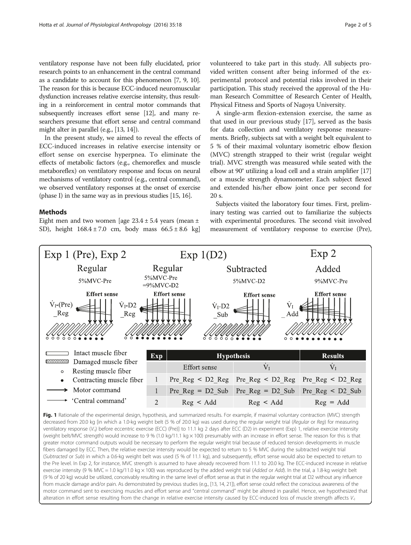<span id="page-1-0"></span>ventilatory response have not been fully elucidated, prior research points to an enhancement in the central command as a candidate to account for this phenomenon [\[7, 9](#page-4-0), [10](#page-4-0)]. The reason for this is because ECC-induced neuromuscular dysfunction increases relative exercise intensity, thus resulting in a reinforcement in central motor commands that subsequently increases effort sense [\[12](#page-4-0)], and many researchers presume that effort sense and central command might alter in parallel (e.g., [\[13, 14](#page-4-0)]).

In the present study, we aimed to reveal the effects of ECC-induced increases in relative exercise intensity or effort sense on exercise hyperpnea. To eliminate the effects of metabolic factors (e.g., chemoreflex and muscle metaboreflex) on ventilatory response and focus on neural mechanisms of ventilatory control (e.g., central command), we observed ventilatory responses at the onset of exercise (phase I) in the same way as in previous studies [[15](#page-4-0), [16](#page-4-0)].

#### Methods

Eight men and two women [age  $23.4 \pm 5.4$  years (mean  $\pm$ SD), height  $168.4 \pm 7.0$  cm, body mass  $66.5 \pm 8.6$  kg]

volunteered to take part in this study. All subjects provided written consent after being informed of the experimental protocol and potential risks involved in their participation. This study received the approval of the Human Research Committee of Research Center of Health, Physical Fitness and Sports of Nagoya University.

A single-arm flexion-extension exercise, the same as that used in our previous study [\[17](#page-4-0)], served as the basis for data collection and ventilatory response measurements. Briefly, subjects sat with a weight belt equivalent to 5 % of their maximal voluntary isometric elbow flexion (MVC) strength strapped to their wrist (regular weight trial). MVC strength was measured while seated with the elbow at 90° utilizing a load cell and a strain amplifier [[17](#page-4-0)] or a muscle strength dynamometer. Each subject flexed and extended his/her elbow joint once per second for 20 s.

Subjects visited the laboratory four times. First, preliminary testing was carried out to familiarize the subjects with experimental procedures. The second visit involved measurement of ventilatory response to exercise (Pre),



Fig. 1 Rationale of the experimental design, hypothesis, and summarized results. For example, if maximal voluntary contraction (MVC) strength decreased from 20.0 kg [in which a 1.0-kg weight belt (5 % of 20.0 kg) was used during the regular weight trial (Regular or Reg) for measuring ventilatory response (V.<sub>I</sub>) before eccentric exercise (ECC) (Pre)] to 11.1 kg 2 days after ECC (D2) in experiment (Exp) 1, relative exercise intensity (weight belt/MVC strength) would increase to 9 % (1.0 kg/11.1 kg  $\times$  100) presumably with an increase in effort sense. The reason for this is that greater motor command outputs would be necessary to perform the regular weight trial because of reduced tension developments in muscle fibers damaged by ECC. Then, the relative exercise intensity would be expected to return to 5 % MVC during the subtracted weight trial (Subtracted or Sub) in which a 0.6-kg weight belt was used (5 % of 11.1 kg), and subsequently, effort sense would also be expected to return to the Pre level. In Exp 2, for instance, MVC strength is assumed to have already recovered from 11.1 to 20.0 kg. The ECC-induced increase in relative exercise intensity (9 % MVC = 1.0 kg/11.0 kg × 100) was reproduced by the added weight trial (Added or Add). In the trial, a 1.8-kg weight belt (9 % of 20 kg) would be utilized, conceivably resulting in the same level of effort sense as that in the regular weight trial at D2 without any influence from muscle damage and/or pain. As demonstrated by previous studies (e.g., [[13](#page-4-0), [14, 21\]](#page-4-0)), effort sense could reflect the conscious awareness of the motor command sent to exercising muscles and effort sense and "central command" might be altered in parallel. Hence, we hypothesized that alteration in effort sense resulting from the change in relative exercise intensity caused by ECC-induced loss of muscle strength affects V.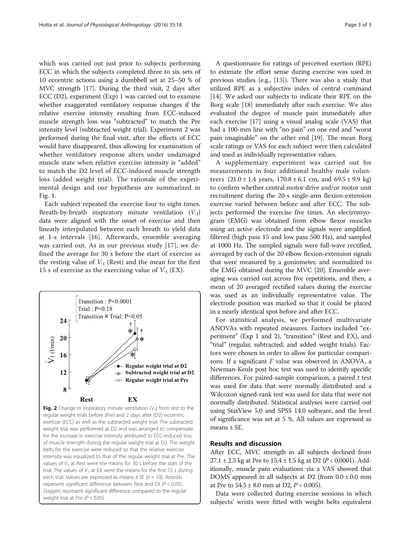<span id="page-2-0"></span>which was carried out just prior to subjects performing ECC in which the subjects completed three to six sets of 10 eccentric actions using a dumbbell set at 25–50 % of MVC strength [\[17\]](#page-4-0). During the third visit, 2 days after ECC (D2), experiment (Exp) 1 was carried out to examine whether exaggerated ventilatory response changes if the relative exercise intensity resulting from ECC-induced muscle strength loss was "subtracted" to match the Pre intensity level (subtracted weight trial). Experiment 2 was performed during the final visit, after the effects of ECC would have disappeared, thus allowing for examination of whether ventilatory response alters under undamaged muscle state when relative exercise intensity is "added" to match the D2 level of ECC-induced muscle strength loss (added weight trial). The rationale of the experimental design and our hypothesis are summarized in Fig. [1.](#page-1-0)

Each subject repeated the exercise four to eight times. Breath-by-breath inspiratory minute ventilation  $(V_{\text{I}})$ data were aligned with the onset of exercise and then linearly interpolated between each breath to yield data at 1-s intervals [[16](#page-4-0)]. Afterwards, ensemble averaging was carried out. As in our previous study [[17\]](#page-4-0), we defined the average for 30 s before the start of exercise as the resting value of  $V_{\text{I}}$  (Rest) and the mean for the first 15 s of exercise as the exercising value of  $V_I$  (EX).



belts for the exercise were reduced so that the relative exercise intensity was equalized to that of the regular weight trial at Pre. The values of  $V<sub>1</sub>$  at Rest were the means for 30 s before the start of the trial. The values of  $V<sub>1</sub>$  at EX were the means for the first 15 s during each trial. Values are expressed as means  $\pm$  SE ( $n = 10$ ). Asterisks represent significant difference between Rest and EX ( $P < 0.05$ ). Daggers represent significant difference compared to the regular weight trial at Pre  $(P < 0.05)$ 

A questionnaire for ratings of perceived exertion (RPE) to estimate the effort sense during exercise was used in previous studies (e.g., [\[13\]](#page-4-0)). There was also a study that utilized RPE as a subjective index of central command [[14](#page-4-0)]. We asked our subjects to indicate their RPE on the Borg scale [[18](#page-4-0)] immediately after each exercise. We also evaluated the degree of muscle pain immediately after each exercise [\[17](#page-4-0)] using a visual analog scale (VAS) that had a 100-mm line with "no pain" on one end and "worst pain imaginable" on the other end [[19](#page-4-0)]. The mean Borg scale ratings or VAS for each subject were then calculated and used as individually representative values.

A supplementary experiment was carried out for measurements in four additional healthy male volunteers  $(21.0 \pm 1.4 \text{ years}, 170.8 \pm 6.1 \text{ cm}, \text{ and } 69.5 \pm 9.9 \text{ kg})$ to confirm whether central motor drive and/or motor unit recruitment during the 20-s single-arm flexion-extension exercise varied between before and after ECC. The subjects performed the exercise five times. An electromyogram (EMG) was obtained from elbow flexor muscles using an active electrode and the signals were amplified, filtered (high pass 15 and low pass 500 Hz), and sampled at 1000 Hz. The sampled signals were full-wave rectified, averaged by each of the 20 elbow flexion-extension signals that were measured by a goniometer, and normalized to the EMG obtained during the MVC [\[20](#page-4-0)]. Ensemble averaging was carried out across five repetitions, and then, a mean of 20 averaged rectified values during the exercise was used as an individually representative value. The electrode position was marked so that it could be placed in a nearly identical spot before and after ECC.

For statistical analysis, we performed multivariate ANOVAs with repeated measures. Factors included "experiment" (Exp 1 and 2), "transition" (Rest and EX), and "trial" (regular, subtracted, and added weight trials). Factors were chosen in order to allow for particular comparisons. If a significant  $F$  value was observed in ANOVA, a Newman-Keuls post hoc test was used to identify specific differences. For paired-sample comparison, a paired  $t$  test was used for data that were normally distributed and a Wilcoxon signed-rank test was used for data that were not normally distributed. Statistical analyses were carried out using StatView 5.0 and SPSS 14.0 software, and the level of significance was set at 5 %. All values are expressed as means ± SE.

## Results and discussion

After ECC, MVC strength in all subjects declined from 27.1  $\pm$  2.5 kg at Pre to 15.4  $\pm$  1.5 kg at D2 (*P* < 0.0001). Additionally, muscle pain evaluations via a VAS showed that DOMS appeared in all subjects at D2 (from  $0.0 \pm 0.0$  mm at Pre to  $54.5 \pm 8.0$  mm at D2,  $P = 0.005$ ).

Data were collected during exercise sessions in which subjects' wrists were fitted with weight belts equivalent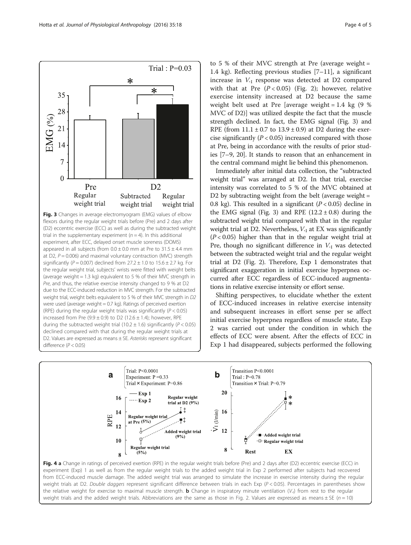<span id="page-3-0"></span>

to 5 % of their MVC strength at Pre (average weight  $=$ 1.4 kg). Reflecting previous studies [\[7](#page-4-0)–[11\]](#page-4-0), a significant increase in V.<sup>I</sup> response was detected at D2 compared with that at Pre  $(P < 0.05)$  (Fig. [2](#page-2-0)); however, relative exercise intensity increased at D2 because the same weight belt used at Pre [average weight = 1.4 kg (9 % MVC of D2)] was utilized despite the fact that the muscle strength declined. In fact, the EMG signal (Fig. 3) and RPE (from  $11.1 \pm 0.7$  to  $13.9 \pm 0.9$ ) at D2 during the exercise significantly  $(P < 0.05)$  increased compared with those at Pre, being in accordance with the results of prior studies [[7](#page-4-0)–[9](#page-4-0), [20](#page-4-0)]. It stands to reason that an enhancement in the central command might lie behind this phenomenon.

Immediately after initial data collection, the "subtracted weight trial" was arranged at D2. In that trial, exercise intensity was correlated to 5 % of the MVC obtained at D2 by subtracting weight from the belt (average weight = 0.8 kg). This resulted in a significant  $(P < 0.05)$  decline in the EMG signal (Fig. 3) and RPE  $(12.2 \pm 0.8)$  during the subtracted weight trial compared with that in the regular weight trial at D2. Nevertheless,  $V<sub>I</sub>$  at EX was significantly  $(P < 0.05)$  higher than that in the regular weight trial at Pre, though no significant difference in  $V<sub>I</sub>$  was detected between the subtracted weight trial and the regular weight trial at D2 (Fig. [2](#page-2-0)). Therefore, Exp 1 demonstrates that significant exaggeration in initial exercise hyperpnea occurred after ECC regardless of ECC-induced augmentations in relative exercise intensity or effort sense.

Shifting perspectives, to elucidate whether the extent of ECC-induced increases in relative exercise intensity and subsequent increases in effort sense per se affect initial exercise hyperpnea regardless of muscle state, Exp 2 was carried out under the condition in which the effects of ECC were absent. After the effects of ECC in Exp 1 had disappeared, subjects performed the following